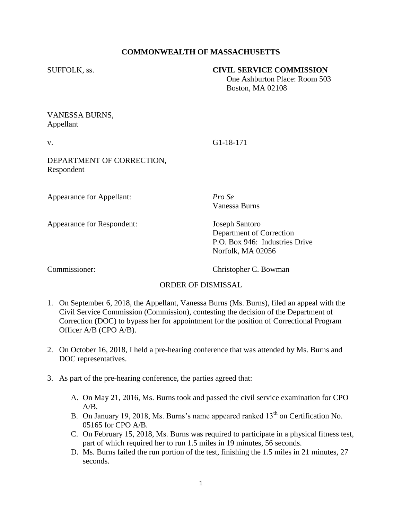# **COMMONWEALTH OF MASSACHUSETTS**

#### SUFFOLK, ss. **CIVIL SERVICE COMMISSION**

 One Ashburton Place: Room 503 Boston, MA 02108

# VANESSA BURNS, Appellant

v. G1-18-171

DEPARTMENT OF CORRECTION, Respondent

Appearance for Appellant: *Pro Se*

Appearance for Respondent: Joseph Santoro

Vanessa Burns

Department of Correction P.O. Box 946: Industries Drive Norfolk, MA 02056

Commissioner: Christopher C. Bowman

### ORDER OF DISMISSAL

- 1. On September 6, 2018, the Appellant, Vanessa Burns (Ms. Burns), filed an appeal with the Civil Service Commission (Commission), contesting the decision of the Department of Correction (DOC) to bypass her for appointment for the position of Correctional Program Officer A/B (CPO A/B).
- 2. On October 16, 2018, I held a pre-hearing conference that was attended by Ms. Burns and DOC representatives.
- 3. As part of the pre-hearing conference, the parties agreed that:
	- A. On May 21, 2016, Ms. Burns took and passed the civil service examination for CPO  $A/B$ .
	- B. On January 19, 2018, Ms. Burns's name appeared ranked  $13<sup>th</sup>$  on Certification No. 05165 for CPO A/B.
	- C. On February 15, 2018, Ms. Burns was required to participate in a physical fitness test, part of which required her to run 1.5 miles in 19 minutes, 56 seconds.
	- D. Ms. Burns failed the run portion of the test, finishing the 1.5 miles in 21 minutes, 27 seconds.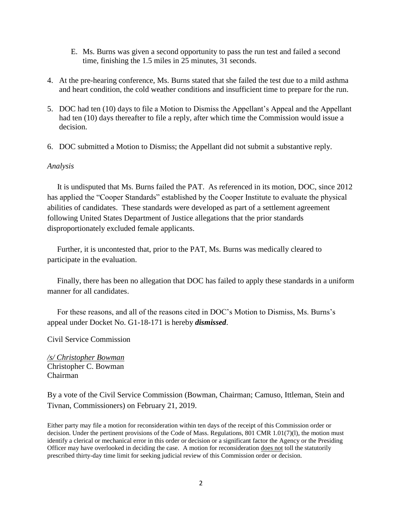- E. Ms. Burns was given a second opportunity to pass the run test and failed a second time, finishing the 1.5 miles in 25 minutes, 31 seconds.
- 4. At the pre-hearing conference, Ms. Burns stated that she failed the test due to a mild asthma and heart condition, the cold weather conditions and insufficient time to prepare for the run.
- 5. DOC had ten (10) days to file a Motion to Dismiss the Appellant's Appeal and the Appellant had ten (10) days thereafter to file a reply, after which time the Commission would issue a decision.
- 6. DOC submitted a Motion to Dismiss; the Appellant did not submit a substantive reply.

#### *Analysis*

 It is undisputed that Ms. Burns failed the PAT. As referenced in its motion, DOC, since 2012 has applied the "Cooper Standards" established by the Cooper Institute to evaluate the physical abilities of candidates. These standards were developed as part of a settlement agreement following United States Department of Justice allegations that the prior standards disproportionately excluded female applicants.

 Further, it is uncontested that, prior to the PAT, Ms. Burns was medically cleared to participate in the evaluation.

 Finally, there has been no allegation that DOC has failed to apply these standards in a uniform manner for all candidates.

 For these reasons, and all of the reasons cited in DOC's Motion to Dismiss, Ms. Burns's appeal under Docket No. G1-18-171 is hereby *dismissed*.

Civil Service Commission

*/s/ Christopher Bowman* Christopher C. Bowman Chairman

By a vote of the Civil Service Commission (Bowman, Chairman; Camuso, Ittleman, Stein and Tivnan, Commissioners) on February 21, 2019.

Either party may file a motion for reconsideration within ten days of the receipt of this Commission order or decision. Under the pertinent provisions of the Code of Mass. Regulations, 801 CMR 1.01(7)(l), the motion must identify a clerical or mechanical error in this order or decision or a significant factor the Agency or the Presiding Officer may have overlooked in deciding the case. A motion for reconsideration does not toll the statutorily prescribed thirty-day time limit for seeking judicial review of this Commission order or decision.